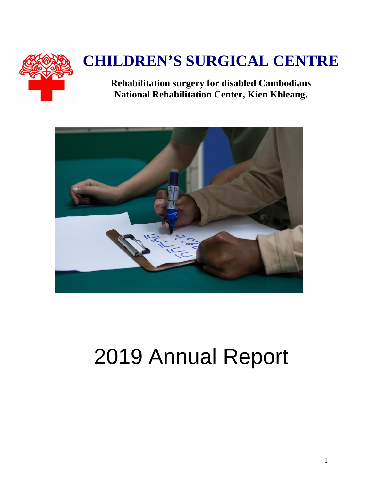

# **CHILDREN'S SURGICAL CENTRE**

**Rehabilitation surgery for disabled Cambodians National Rehabilitation Center, Kien Khleang.**



# 2019 Annual Report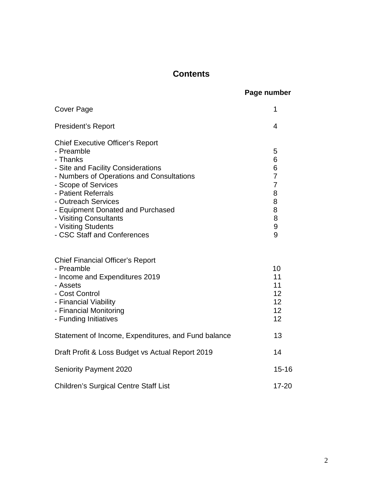### **Contents**

|  | Page number |
|--|-------------|
|--|-------------|

| <b>Cover Page</b>                                                                                                                                                                                                                                                                                                                              | 1                                                                                            |
|------------------------------------------------------------------------------------------------------------------------------------------------------------------------------------------------------------------------------------------------------------------------------------------------------------------------------------------------|----------------------------------------------------------------------------------------------|
| <b>President's Report</b>                                                                                                                                                                                                                                                                                                                      | 4                                                                                            |
| <b>Chief Executive Officer's Report</b><br>- Preamble<br>- Thanks<br>- Site and Facility Considerations<br>- Numbers of Operations and Consultations<br>- Scope of Services<br>- Patient Referrals<br>- Outreach Services<br>- Equipment Donated and Purchased<br>- Visiting Consultants<br>- Visiting Students<br>- CSC Staff and Conferences | 5<br>6<br>6<br>$\overline{7}$<br>$\overline{7}$<br>8<br>8<br>8<br>8<br>$\boldsymbol{9}$<br>9 |
| <b>Chief Financial Officer's Report</b><br>- Preamble<br>- Income and Expenditures 2019<br>- Assets<br>- Cost Control<br>- Financial Viability<br>- Financial Monitoring<br>- Funding Initiatives                                                                                                                                              | 10<br>11<br>11<br>12<br>12<br>12<br>12                                                       |
| Statement of Income, Expenditures, and Fund balance                                                                                                                                                                                                                                                                                            | 13                                                                                           |
| Draft Profit & Loss Budget vs Actual Report 2019                                                                                                                                                                                                                                                                                               | 14                                                                                           |
| <b>Seniority Payment 2020</b>                                                                                                                                                                                                                                                                                                                  | $15 - 16$                                                                                    |
| <b>Children's Surgical Centre Staff List</b>                                                                                                                                                                                                                                                                                                   | $17 - 20$                                                                                    |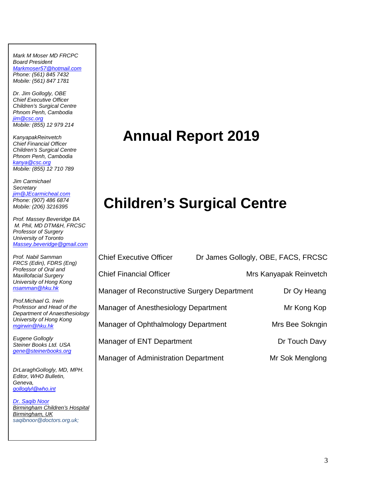*Mark M Moser MD FRCPC Board President Markmoser57@hotmail.com Phone: (561) 845 7432 Mobile: (561) 847 1781*

*Dr. Jim Gollogly, OBE Chief Executive Officer Children's Surgical Centre Phnom Penh, Cambodia jim@csc.org Mobile: (855) 12 979 214*

*KanyapakReinvetch Chief Financial Officer Children's Surgical Centre Phnom Penh, Cambodia kanya@csc.org Mobile: (855) 12 710 789*

*Jim Carmichael Secretary jim@JEcarmicheal.com Phone: (907) 486 6874 Mobile: (206) 3216395* 

*Prof. Massey Beveridge BA M. Phil, MD DTM&H, FRCSC Professor of Surgery University of Toronto Massey.beveridge@gmail.com*

*Prof. Nabil Samman FRCS (Edin), FDRS (Eng) Professor of Oral and Maxillofacial Surgery University of Hong Kong nsamman@hku.hk*

*Prof.Michael G. Irwin Professor and Head of the Department of Anaesthesiology University of Hong Kong mgirwin@hku.hk*

*Eugene Gollogly Steiner Books Ltd. USA gene@steinerbooks.org*

*DrLaraghGollogly, MD, MPH. Editor, WHO Bulletin, Geneva, golloglyl@who.int*

*Dr. Saqib Noor Birmingham Children's Hospital Birmingham, UK saqibnoor@doctors.org.uk;*

## **Annual Report 2019**

# **Children's Surgical Centre**

Chief Executive Officer Dr James Gollogly, OBE, FACS, FRCSC Chief Financial Officer **Mrs Kanyapak Reinvetch** Manager of Reconstructive Surgery Department Dr Oy Heang Manager of Anesthesiology Department Mr Kong Kop Manager of Ophthalmology Department Mrs Bee Sokngin Manager of ENT Department **Dramager** Dr Touch Davy Manager of Administration Department Mr Sok Menglong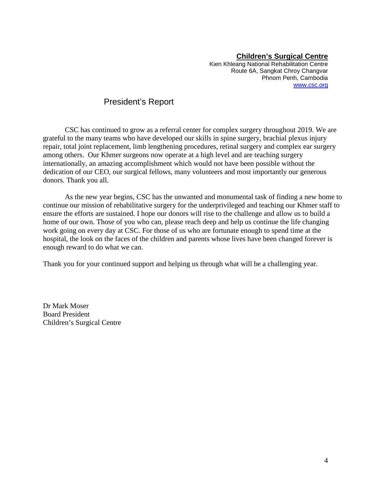#### **Children's Surgical Centre**

Kien Khleang National Rehabilitation Centre Route 6A, Sangkat Chroy Changvar Phnom Penh, Cambodia www.csc.org

#### President's Report

CSC has continued to grow as a referral center for complex surgery throughout 2019. We are grateful to the many teams who have developed our skills in spine surgery, brachial plexus injury repair, total joint replacement, limb lengthening procedures, retinal surgery and complex ear surgery among others. Our Khmer surgeons now operate at a high level and are teaching surgery internationally, an amazing accomplishment which would not have been possible without the dedication of our CEO, our surgical fellows, many volunteers and most importantly our generous donors. Thank you all.

As the new year begins, CSC has the unwanted and monumental task of finding a new home to continue our mission of rehabilitative surgery for the underprivileged and teaching our Khmer staff to ensure the efforts are sustained. I hope our donors will rise to the challenge and allow us to build a home of our own. Those of you who can, please reach deep and help us continue the life changing work going on every day at CSC. For those of us who are fortunate enough to spend time at the hospital, the look on the faces of the children and parents whose lives have been changed forever is enough reward to do what we can.

Thank you for your continued support and helping us through what will be a challenging year.

Dr Mark Moser Board President Children's Surgical Centre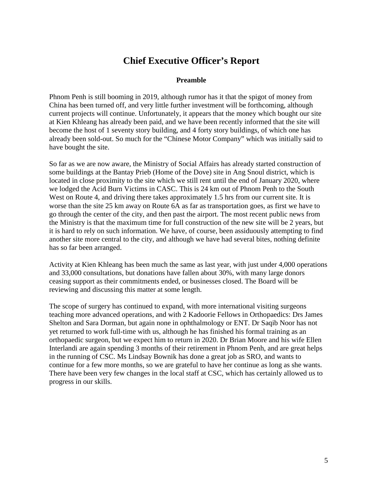### **Chief Executive Officer's Report**

#### **Preamble**

Phnom Penh is still booming in 2019, although rumor has it that the spigot of money from China has been turned off, and very little further investment will be forthcoming, although current projects will continue. Unfortunately, it appears that the money which bought our site at Kien Khleang has already been paid, and we have been recently informed that the site will become the host of 1 seventy story building, and 4 forty story buildings, of which one has already been sold-out. So much for the "Chinese Motor Company" which was initially said to have bought the site.

So far as we are now aware, the Ministry of Social Affairs has already started construction of some buildings at the Bantay Prieb (Home of the Dove) site in Ang Snoul district, which is located in close proximity to the site which we still rent until the end of January 2020, where we lodged the Acid Burn Victims in CASC. This is 24 km out of Phnom Penh to the South West on Route 4, and driving there takes approximately 1.5 hrs from our current site. It is worse than the site 25 km away on Route 6A as far as transportation goes, as first we have to go through the center of the city, and then past the airport. The most recent public news from the Ministry is that the maximum time for full construction of the new site will be 2 years, but it is hard to rely on such information. We have, of course, been assiduously attempting to find another site more central to the city, and although we have had several bites, nothing definite has so far been arranged.

Activity at Kien Khleang has been much the same as last year, with just under 4,000 operations and 33,000 consultations, but donations have fallen about 30%, with many large donors ceasing support as their commitments ended, or businesses closed. The Board will be reviewing and discussing this matter at some length.

The scope of surgery has continued to expand, with more international visiting surgeons teaching more advanced operations, and with 2 Kadoorie Fellows in Orthopaedics: Drs James Shelton and Sara Dorman, but again none in ophthalmology or ENT. Dr Saqib Noor has not yet returned to work full-time with us, although he has finished his formal training as an orthopaedic surgeon, but we expect him to return in 2020. Dr Brian Moore and his wife Ellen Interlandi are again spending 3 months of their retirement in Phnom Penh, and are great helps in the running of CSC. Ms Lindsay Bownik has done a great job as SRO, and wants to continue for a few more months, so we are grateful to have her continue as long as she wants. There have been very few changes in the local staff at CSC, which has certainly allowed us to progress in our skills.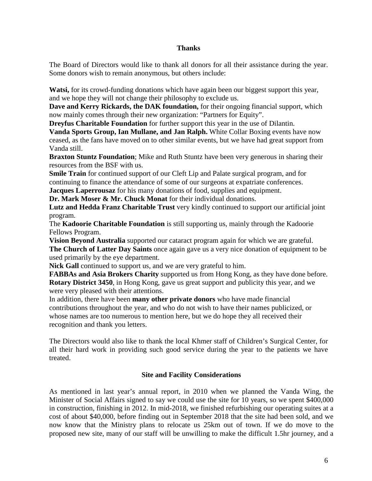#### **Thanks**

The Board of Directors would like to thank all donors for all their assistance during the year. Some donors wish to remain anonymous, but others include:

**Watsi,** for its crowd-funding donations which have again been our biggest support this year, and we hope they will not change their philosophy to exclude us.

**Dave and Kerry Rickards, the DAK foundation,** for their ongoing financial support, which now mainly comes through their new organization: "Partners for Equity".

**Dreyfus Charitable Foundation** for further support this year in the use of Dilantin.

**Vanda Sports Group, Ian Mullane, and Jan Ralph.** White Collar Boxing events have now ceased, as the fans have moved on to other similar events, but we have had great support from Vanda still.

**Braxton Stuntz Foundation**; Mike and Ruth Stuntz have been very generous in sharing their resources from the BSF with us.

**Smile Train** for continued support of our Cleft Lip and Palate surgical program, and for continuing to finance the attendance of some of our surgeons at expatriate conferences.

**Jacques Laperrousaz** for his many donations of food, supplies and equipment.

**Dr. Mark Moser & Mr. Chuck Monat** for their individual donations.

**Lutz and Hedda Franz Charitable Trust** very kindly continued to support our artificial joint program.

The **Kadoorie Charitable Foundation** is still supporting us, mainly through the Kadoorie Fellows Program.

**Vision Beyond Australia** supported our cataract program again for which we are grateful. **The Church of Latter Day Saints** once again gave us a very nice donation of equipment to be used primarily by the eye department.

Nick Gall continued to support us, and we are very grateful to him.

**FABBAs and Asia Brokers Charity** supported us from Hong Kong, as they have done before. **Rotary District 3450**, in Hong Kong, gave us great support and publicity this year, and we were very pleased with their attentions.

In addition, there have been **many other private donors** who have made financial contributions throughout the year, and who do not wish to have their names publicized, or whose names are too numerous to mention here, but we do hope they all received their recognition and thank you letters.

The Directors would also like to thank the local Khmer staff of Children's Surgical Center, for all their hard work in providing such good service during the year to the patients we have treated.

#### **Site and Facility Considerations**

As mentioned in last year's annual report, in 2010 when we planned the Vanda Wing, the Minister of Social Affairs signed to say we could use the site for 10 years, so we spent \$400,000 in construction, finishing in 2012. In mid-2018, we finished refurbishing our operating suites at a cost of about \$40,000, before finding out in September 2018 that the site had been sold, and we now know that the Ministry plans to relocate us 25km out of town. If we do move to the proposed new site, many of our staff will be unwilling to make the difficult 1.5hr journey, and a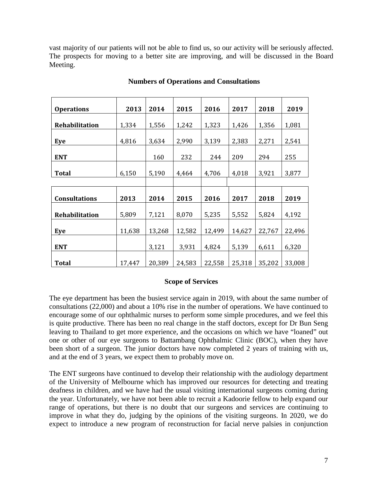vast majority of our patients will not be able to find us, so our activity will be seriously affected. The prospects for moving to a better site are improving, and will be discussed in the Board Meeting.

|                       | 2013   | 2014   | 2015   | 2016   | 2017   | 2018   | 2019   |
|-----------------------|--------|--------|--------|--------|--------|--------|--------|
| <b>Operations</b>     |        |        |        |        |        |        |        |
| <b>Rehabilitation</b> | 1,334  | 1,556  | 1,242  | 1,323  | 1,426  | 1,356  | 1,081  |
| Eye                   | 4,816  | 3,634  | 2,990  | 3,139  | 2,383  | 2,271  | 2,541  |
| <b>ENT</b>            |        | 160    | 232    | 244    | 209    | 294    | 255    |
| <b>Total</b>          | 6,150  | 5,190  | 4,464  | 4,706  | 4,018  | 3,921  | 3,877  |
|                       |        |        |        |        |        |        |        |
|                       |        |        |        |        |        |        |        |
| <b>Consultations</b>  | 2013   | 2014   | 2015   | 2016   | 2017   | 2018   | 2019   |
| <b>Rehabilitation</b> | 5,809  | 7,121  | 8,070  | 5,235  | 5,552  | 5,824  | 4,192  |
| Eye                   | 11,638 | 13,268 | 12,582 | 12,499 | 14,627 | 22,767 | 22,496 |
| <b>ENT</b>            |        | 3,121  | 3,931  | 4,824  | 5,139  | 6,611  | 6,320  |
| <b>Total</b>          | 17,447 | 20,389 | 24,583 | 22,558 | 25,318 | 35,202 | 33,008 |

#### **Numbers of Operations and Consultations**

#### **Scope of Services**

The eye department has been the busiest service again in 2019, with about the same number of consultations (22,000) and about a 10% rise in the number of operations. We have continued to encourage some of our ophthalmic nurses to perform some simple procedures, and we feel this is quite productive. There has been no real change in the staff doctors, except for Dr Bun Seng leaving to Thailand to get more experience, and the occasions on which we have "loaned" out one or other of our eye surgeons to Battambang Ophthalmic Clinic (BOC), when they have been short of a surgeon. The junior doctors have now completed 2 years of training with us, and at the end of 3 years, we expect them to probably move on.

The ENT surgeons have continued to develop their relationship with the audiology department of the University of Melbourne which has improved our resources for detecting and treating deafness in children, and we have had the usual visiting international surgeons coming during the year. Unfortunately, we have not been able to recruit a Kadoorie fellow to help expand our range of operations, but there is no doubt that our surgeons and services are continuing to improve in what they do, judging by the opinions of the visiting surgeons. In 2020, we do expect to introduce a new program of reconstruction for facial nerve palsies in conjunction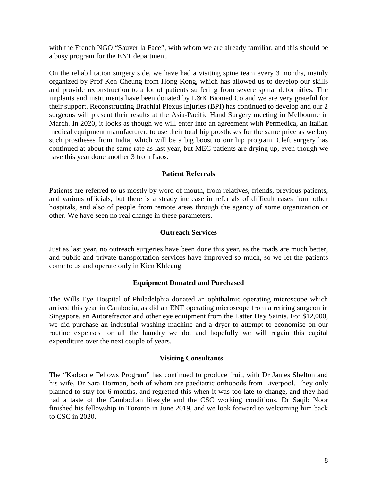with the French NGO "Sauver la Face", with whom we are already familiar, and this should be a busy program for the ENT department.

On the rehabilitation surgery side, we have had a visiting spine team every 3 months, mainly organized by Prof Ken Cheung from Hong Kong, which has allowed us to develop our skills and provide reconstruction to a lot of patients suffering from severe spinal deformities. The implants and instruments have been donated by L&K Biomed Co and we are very grateful for their support. Reconstructing Brachial Plexus Injuries (BPI) has continued to develop and our 2 surgeons will present their results at the Asia-Pacific Hand Surgery meeting in Melbourne in March. In 2020, it looks as though we will enter into an agreement with Permedica, an Italian medical equipment manufacturer, to use their total hip prostheses for the same price as we buy such prostheses from India, which will be a big boost to our hip program. Cleft surgery has continued at about the same rate as last year, but MEC patients are drying up, even though we have this year done another 3 from Laos.

#### **Patient Referrals**

Patients are referred to us mostly by word of mouth, from relatives, friends, previous patients, and various officials, but there is a steady increase in referrals of difficult cases from other hospitals, and also of people from remote areas through the agency of some organization or other. We have seen no real change in these parameters.

#### **Outreach Services**

Just as last year, no outreach surgeries have been done this year, as the roads are much better, and public and private transportation services have improved so much, so we let the patients come to us and operate only in Kien Khleang.

#### **Equipment Donated and Purchased**

The Wills Eye Hospital of Philadelphia donated an ophthalmic operating microscope which arrived this year in Cambodia, as did an ENT operating microscope from a retiring surgeon in Singapore, an Autorefractor and other eye equipment from the Latter Day Saints. For \$12,000, we did purchase an industrial washing machine and a dryer to attempt to economise on our routine expenses for all the laundry we do, and hopefully we will regain this capital expenditure over the next couple of years.

#### **Visiting Consultants**

The "Kadoorie Fellows Program" has continued to produce fruit, with Dr James Shelton and his wife, Dr Sara Dorman, both of whom are paediatric orthopods from Liverpool. They only planned to stay for 6 months, and regretted this when it was too late to change, and they had had a taste of the Cambodian lifestyle and the CSC working conditions. Dr Saqib Noor finished his fellowship in Toronto in June 2019, and we look forward to welcoming him back to CSC in 2020.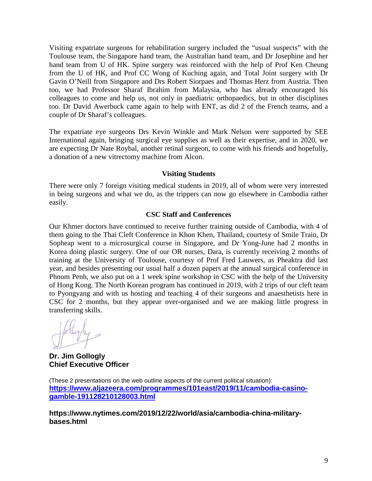Visiting expatriate surgeons for rehabilitation surgery included the "usual suspects" with the Toulouse team, the Singapore hand team, the Australian hand team, and Dr Josephine and her hand team from U of HK. Spine surgery was reinforced with the help of Prof Ken Cheung from the U of HK, and Prof CC Wong of Kuching again, and Total Joint surgery with Dr Gavin O'Neill from Singapore and Drs Robert Siorpaes and Thomas Herz from Austria. Then too, we had Professor Sharaf Ibrahim from Malaysia, who has already encouraged his colleagues to come and help us, not only in paediatric orthopaedics, but in other disciplines too. Dr David Awerbuck came again to help with ENT, as did 2 of the French teams, and a couple of Dr Sharaf's colleagues.

The expatriate eye surgeons Drs Kevin Winkle and Mark Nelson were supported by SEE International again, bringing surgical eye supplies as well as their expertise, and in 2020, we are expecting Dr Nate Roybal, another retinal surgeon, to come with his friends and hopefully, a donation of a new vitrectomy machine from Alcon.

#### **Visiting Students**

There were only 7 foreign visiting medical students in 2019, all of whom were very interested in being surgeons and what we do, as the trippers can now go elsewhere in Cambodia rather easily.

#### **CSC Staff and Conferences**

Our Khmer doctors have continued to receive further training outside of Cambodia, with 4 of them going to the Thai Cleft Conference in Khon Khen, Thailand, courtesy of Smile Train, Dr Sopheap went to a microsurgical course in Singapore, and Dr Yong-June had 2 months in Korea doing plastic surgery. One of our OR nurses, Dara, is currently receiving 2 months of training at the University of Toulouse, courtesy of Prof Fred Lauwers, as Pheaktra did last year, and besides presenting our usual half a dozen papers at the annual surgical conference in Phnom Penh, we also put on a 1 week spine workshop in CSC with the help of the University of Hong Kong. The North Korean program has continued in 2019, with 2 trips of our cleft team to Pyongyang and with us hosting and teaching 4 of their surgeons and anaesthetists here in CSC for 2 months, but they appear over-organised and we are making little progress in transferring skills.

**Dr. Jim Gollogly Chief Executive Officer**

(These 2 presentations on the web outline aspects of the current political situation): **https://www.aljazeera.com/programmes/101east/2019/11/cambodia-casinogamble-191128210128003.html**

**https://www.nytimes.com/2019/12/22/world/asia/cambodia-china-militarybases.html**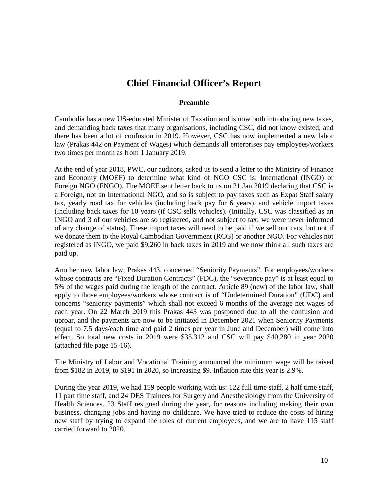### **Chief Financial Officer's Report**

#### **Preamble**

Cambodia has a new US-educated Minister of Taxation and is now both introducing new taxes, and demanding back taxes that many organisations, including CSC, did not know existed, and there has been a lot of confusion in 2019. However, CSC has now implemented a new labor law (Prakas 442 on Payment of Wages) which demands all enterprises pay employees/workers two times per month as from 1 January 2019.

At the end of year 2018, PWC, our auditors, asked us to send a letter to the Ministry of Finance and Economy (MOEF) to determine what kind of NGO CSC is: International (INGO) or Foreign NGO (FNGO). The MOEF sent letter back to us on 21 Jan 2019 declaring that CSC is a Foreign, not an International NGO, and so is subject to pay taxes such as Expat Staff salary tax, yearly road tax for vehicles (including back pay for 6 years), and vehicle import taxes (including back taxes for 10 years (if CSC sells vehicles). (Initially, CSC was classified as an INGO and 3 of our vehicles are so registered, and not subject to tax: we were never informed of any change of status). These import taxes will need to be paid if we sell our cars, but not if we donate them to the Royal Cambodian Government (RCG) or another NGO. For vehicles not registered as INGO, we paid \$9,260 in back taxes in 2019 and we now think all such taxes are paid up.

Another new labor law, Prakas 443, concerned "Seniority Payments". For employees/workers whose contracts are "Fixed Duration Contracts" (FDC), the "severance pay" is at least equal to 5% of the wages paid during the length of the contract. Article 89 (new) of the labor law, shall apply to those employees/workers whose contract is of "Undetermined Duration" (UDC) and concerns "seniority payments" which shall not exceed 6 months of the average net wages of each year. On 22 March 2019 this Prakas 443 was postponed due to all the confusion and uproar, and the payments are now to be initiated in December 2021 when Seniority Payments (equal to 7.5 days/each time and paid 2 times per year in June and December) will come into effect. So total new costs in 2019 were \$35,312 and CSC will pay \$40,280 in year 2020 (attached file page 15-16).

The Ministry of Labor and Vocational Training announced the minimum wage will be raised from \$182 in 2019, to \$191 in 2020, so increasing \$9. Inflation rate this year is 2.9%.

During the year 2019, we had 159 people working with us: 122 full time staff, 2 half time staff, 11 part time staff, and 24 DES Trainees for Surgery and Anesthesiology from the University of Health Sciences. 23 Staff resigned during the year, for reasons including making their own business, changing jobs and having no childcare. We have tried to reduce the costs of hiring new staff by trying to expand the roles of current employees, and we are to have 115 staff carried forward to 2020.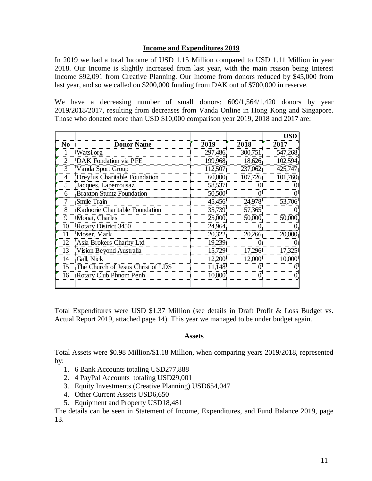#### **Income and Expenditures 2019**

In 2019 we had a total Income of USD 1.15 Million compared to USD 1.11 Million in year 2018. Our Income is slightly increased from last year, with the main reason being Interest Income \$92,091 from Creative Planning. Our Income from donors reduced by \$45,000 from last year, and so we called on \$200,000 funding from DAK out of \$700,000 in reserve.

We have a decreasing number of small donors:  $609/1,564/1,420$  donors by year 2019/2018/2017, resulting from decreases from Vanda Online in Hong Kong and Singapore. Those who donated more than USD \$10,000 comparison year 2019, 2018 and 2017 are:

|                |                                   |                     |                     | <b>USD</b>          |
|----------------|-----------------------------------|---------------------|---------------------|---------------------|
| No             | <b>Donor Name</b>                 | 2019                | 2018                | 2017                |
|                | <b>Watsi.org</b>                  | 297,486             | 300,751             | 547,268             |
|                | DAK Fondation via PFE             | 199,968             | 18,626              | 102,594             |
| 3              | Vanda Sport Group                 | 112,507             | 237,062             | 425,747             |
|                | Dreyfus Charitable Foundation     | 60,000              | 107,726             | 101,760             |
| 5.             | Jacques, Laperrousaz              | 58,537              | $\theta$            |                     |
|                | <b>Braxton Stuntz Foundation</b>  | 50,500              |                     |                     |
|                | Smile Train                       | 45,456              | 24,978              | $\overline{53,706}$ |
|                | Kadoorie Charitable Foundation    | $\overline{35,739}$ | $\overline{57,365}$ |                     |
|                | Monat, Charles                    | 25,000              | 50,000              | 50,000              |
| 10             | Rotary District 3450              | 24,964              |                     |                     |
|                | Moser, Mark                       | 20,322              | 20,266              | 20,000              |
| 12.            | Asia Brokers Charity Ltd          | 19,239              | $\Omega$            |                     |
| <sup>[3]</sup> | Vision Beyond Australia           | 15,729              | 17,296              | 17,325              |
| 14             | Gall, Nick                        | 12,200              | 12,000              | 10,000              |
| 15             | The Church of Jesus Christ of LDS | 11,148              |                     |                     |
| 16             | <b>Rotary Club Phnom Penh</b>     | 10,000              |                     |                     |
|                |                                   |                     |                     |                     |

Total Expenditures were USD \$1.37 Million (see details in Draft Profit & Loss Budget vs. Actual Report 2019, attached page 14). This year we managed to be under budget again.

#### **Assets**

Total Assets were \$0.98 Million/\$1.18 Million, when comparing years 2019/2018, represented by:

- 1. 6 Bank Accounts totaling USD277,888
- 2. 4 PayPal Accounts totaling USD29,001
- 3. Equity Investments (Creative Planning) USD654,047
- 4. Other Current Assets USD6,650
- 5. Equipment and Property USD18,481

The details can be seen in Statement of Income, Expenditures, and Fund Balance 2019, page 13.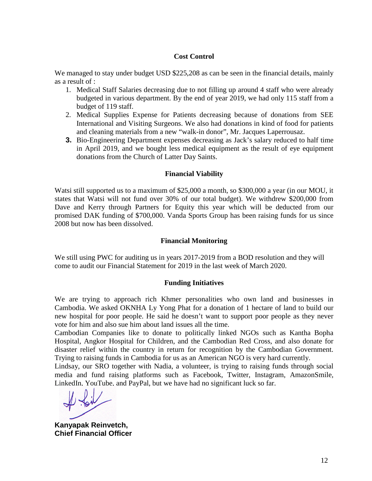#### **Cost Control**

We managed to stay under budget USD \$225,208 as can be seen in the financial details, mainly as a result of :

- 1. Medical Staff Salaries decreasing due to not filling up around 4 staff who were already budgeted in various department. By the end of year 2019, we had only 115 staff from a budget of 119 staff.
- 2. Medical Supplies Expense for Patients decreasing because of donations from SEE International and Visiting Surgeons. We also had donations in kind of food for patients and cleaning materials from a new "walk-in donor", Mr. Jacques Laperrousaz.
- **3.** Bio-Engineering Department expenses decreasing as Jack's salary reduced to half time in April 2019, and we bought less medical equipment as the result of eye equipment donations from the Church of Latter Day Saints.

#### **Financial Viability**

Watsi still supported us to a maximum of \$25,000 a month, so \$300,000 a year (in our MOU, it states that Watsi will not fund over 30% of our total budget). We withdrew \$200,000 from Dave and Kerry through Partners for Equity this year which will be deducted from our promised DAK funding of \$700,000. Vanda Sports Group has been raising funds for us since 2008 but now has been dissolved.

#### **Financial Monitoring**

We still using PWC for auditing us in years 2017-2019 from a BOD resolution and they will come to audit our Financial Statement for 2019 in the last week of March 2020.

#### **Funding Initiatives**

We are trying to approach rich Khmer personalities who own land and businesses in Cambodia. We asked OKNHA Ly Yong Phat for a donation of 1 hectare of land to build our new hospital for poor people. He said he doesn't want to support poor people as they never vote for him and also sue him about land issues all the time.

Cambodian Companies like to donate to politically linked NGOs such as Kantha Bopha Hospital, Angkor Hospital for Children, and the Cambodian Red Cross, and also donate for disaster relief within the country in return for recognition by the Cambodian Government. Trying to raising funds in Cambodia for us as an American NGO is very hard currently.

Lindsay, our SRO together with Nadia, a volunteer, is trying to raising funds through social media and fund raising platforms such as Facebook, Twitter, Instagram, AmazonSmile, LinkedIn, YouTube, and PayPal, but we have had no significant luck so far.

**Kanyapak Reinvetch, Chief Financial Officer**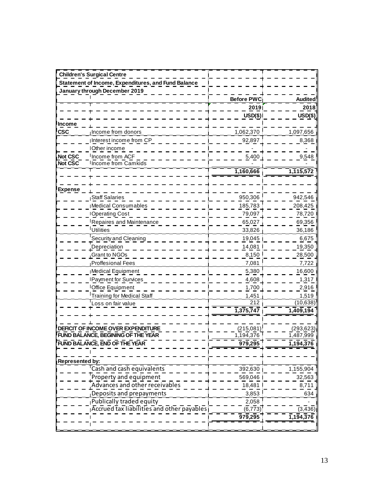|                        | <b>Children's Surgical Centre</b>                   |                   |                |
|------------------------|-----------------------------------------------------|-------------------|----------------|
|                        | Statement of Income, Expenditures, and Fund Balance |                   |                |
|                        | January through December 2019                       |                   |                |
|                        |                                                     | <b>Before PWC</b> | <b>Audited</b> |
|                        |                                                     | 2019              | 2018           |
|                        |                                                     | $USD(\$)$         | USD(\$)        |
| Income                 |                                                     |                   |                |
| <b>CSC</b>             | Income from donors                                  | 1,062,370         | 1,097,656      |
|                        | Interest income from CP                             | 92,897            | 8,368          |
|                        | Other income                                        |                   |                |
| Not CSC                | Income from ACF                                     | 5,400             | 9,548          |
| Not CSC                | Income from Camkids                                 |                   |                |
|                        |                                                     | 1,160,666         | 1,115,572      |
|                        |                                                     |                   |                |
| <b>Expense</b>         |                                                     |                   |                |
|                        | <b>Staff Salaries</b>                               | 950,306           | 942,546        |
|                        | Medical Consumables                                 | 185,783           | 208,425        |
|                        | <b>IOperating Cost</b>                              | 79,097            | 78,720         |
|                        | Repaires and Maintenance                            | 65,027            | 69,356         |
|                        | Utilities                                           | 33,826            | 36,186         |
|                        | Security and Cleaning                               | 19,045            | 6,675          |
|                        | Depreciation                                        | 14,081            | 19,350         |
|                        | Grant to NGOs                                       | 8,150             | 28,500         |
|                        | <b>Proffesional Fees</b>                            | 7,081             | 7,722          |
|                        | Medical Equipment                                   | 5,380             | 16,600         |
|                        | <b>IPayment for Survices</b>                        | 4,608             | 1,317          |
|                        | Office Equipment                                    | 1,700             | 2,916          |
|                        | <b>Training for Medical Staff</b>                   | 1,451             | 1,519          |
|                        | oss on fair value                                   | 212               | (10, 638)      |
|                        |                                                     | 1,375,747         | 1,409,194      |
|                        |                                                     |                   |                |
|                        | DEFICIT OF INCOME OVER EXPENDITURE                  | (215,081)         | (293, 623)     |
|                        | <b>FUND BALANCE, BEGINING OF THE YEAR</b>           | 1,194,376         | 1,487,999      |
|                        | FUND BALANCE, END OF THE YEAR                       | 979,295           | 1,194,376      |
|                        |                                                     |                   |                |
| <b>Represented by:</b> |                                                     |                   |                |
|                        | Cash and cash equivalents                           | 392,630           | 1,155,904      |
|                        | Property and equipment                              | 569,046           | 32,563         |
|                        | Advances and other receivables                      | 18,481            | 8,711          |
|                        | Deposits and prepayments                            | 3,853             | 634            |
|                        | Publically traded equity                            | 2,058             |                |
|                        | Accrued tax liabilities and other payables          | (6, 773)          | (3, 436)       |
|                        |                                                     | 979,295           | 1,194,376      |
|                        |                                                     |                   |                |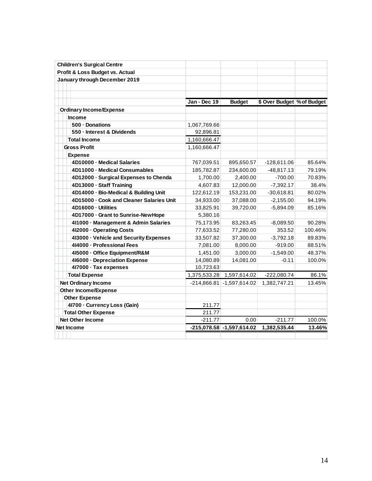| <b>Children's Surgical Centre</b>        |               |                             |                            |         |
|------------------------------------------|---------------|-----------------------------|----------------------------|---------|
| Profit & Loss Budget vs. Actual          |               |                             |                            |         |
| January through December 2019            |               |                             |                            |         |
|                                          |               |                             |                            |         |
|                                          |               |                             |                            |         |
|                                          | Jan - Dec 19  | <b>Budget</b>               | \$ Over Budget % of Budget |         |
| <b>Ordinary Income/Expense</b>           |               |                             |                            |         |
| <b>Income</b>                            |               |                             |                            |         |
| 500 - Donations                          | 1,067,769.66  |                             |                            |         |
| 550 - Interest & Dividends               | 92,896.81     |                             |                            |         |
| <b>Total Income</b>                      | 1,160,666.47  |                             |                            |         |
| <b>Gross Profit</b>                      | 1,160,666.47  |                             |                            |         |
| <b>Expense</b>                           |               |                             |                            |         |
| 4D10000 - Medical Salaries               | 767,039.51    | 895,650.57                  | -128,611.06                | 85.64%  |
| 4D11000 - Medical Consumables            | 185,782.87    | 234,600.00                  | $-48,817.13$               | 79.19%  |
| 4D12000 · Surgical Expenses to Chenda    | 1,700.00      | 2,400.00                    | -700.00                    | 70.83%  |
| 4D13000 - Staff Training                 | 4,607.83      | 12,000.00                   | $-7,392.17$                | 38.4%   |
| 4D14000 - Bio-Medical & Building Unit    | 122,612.19    | 153,231.00                  | $-30,618.81$               | 80.02%  |
| 4D15000 - Cook and Cleaner Salaries Unit | 34,933.00     | 37,088.00                   | $-2,155.00$                | 94.19%  |
| 4D16000 - Utilities                      | 33,825.91     | 39,720.00                   | $-5,894.09$                | 85.16%  |
| 4D17000 - Grant to Sunrise-New Hope      | 5,380.16      |                             |                            |         |
| 4l1000 - Management & Admin Salaries     | 75,173.95     | 83,263.45                   | $-8,089.50$                | 90.28%  |
| 412000 - Operating Costs                 | 77,633.52     | 77,280.00                   | 353.52                     | 100.46% |
| 413000 - Vehicle and Security Expenses   | 33,507.82     | 37,300.00                   | $-3,792.18$                | 89.83%  |
| 414000 - Professional Fees               | 7,081.00      | 8,000.00                    | $-919.00$                  | 88.51%  |
| 415000 - Office Equipment/R&M            | 1,451.00      | 3.000.00                    | $-1,549.00$                | 48.37%  |
| 416000 - Depreciation Expense            | 14,080.89     | 14,081.00                   | $-0.11$                    | 100.0%  |
| 417000 · Tax expenses                    | 10,723.63     |                             |                            |         |
| <b>Total Expense</b>                     | 1,375,533.28  | 1,597,614.02                | $-222,080.74$              | 86.1%   |
| <b>Net Ordinary Income</b>               | $-214.866.81$ | $-1,597,614.02$             | 1,382,747.21               | 13.45%  |
| <b>Other Income/Expense</b>              |               |                             |                            |         |
| <b>Other Expense</b>                     |               |                             |                            |         |
| 41700 - Currency Loss (Gain)             | 211.77        |                             |                            |         |
| <b>Total Other Expense</b>               | 211.77        |                             |                            |         |
| <b>Net Other Income</b>                  | -211.77       | 0.00                        | $-211.77$                  | 100.0%  |
| <b>Net Income</b>                        |               | $-215,078.58$ -1,597,614.02 | 1,382,535.44               | 13.46%  |
|                                          |               |                             |                            |         |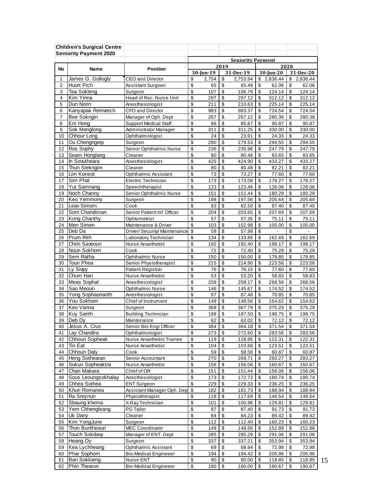|                | <b>Children's Surgical Centre</b>   |                                            |           |            |                                                                   |                          |                         |                          |           |                  |
|----------------|-------------------------------------|--------------------------------------------|-----------|------------|-------------------------------------------------------------------|--------------------------|-------------------------|--------------------------|-----------|------------------|
|                | <b>Seniority Payment 2020</b>       |                                            |           |            |                                                                   |                          |                         |                          |           |                  |
|                |                                     |                                            |           |            |                                                                   | <b>Seniority Payment</b> |                         |                          |           |                  |
| No             | Name                                | <b>Position</b>                            | 30-Jun-19 |            |                                                                   | 2019                     |                         | 2020                     | 31-Dec-20 |                  |
| 1              | James G. Gollogly                   | <b>CEO and Director</b>                    | \$        | 2,754      | \$                                                                | 31-Dec-19<br>2,753.94    | \$                      | $30$ -Jun-20<br>2,836.44 | \$        | 2,836.44         |
| $\overline{2}$ | <b>Huort Pich</b>                   | Assistant Surgoen                          | \$        | 65         | \$                                                                | 65.49                    | \$                      | 62.06                    | \$        | 62.06            |
| 3              | <b>Tea Sokleng</b>                  | Surgeon                                    | \$        | 107        | \$                                                                | 106.79                   | \$                      | 124.14                   | \$        | 124.14           |
| 4              | Kim Yinna                           | Head of Rec. Nurse Unit                    | \$        | 297        | \$                                                                | 297.12                   | \$                      | 312.12                   | \$        | 312.12           |
| 5              | Dun Norin                           | Anesthesiologist                           | \$        | 211        | $\overline{\mathbf{S}}$                                           | 210.63                   | \$                      | 225.14                   | \$        | 225.14           |
| 6              | Kanyapak Reinvetch                  | <b>CFO and Director</b>                    | \$        | 983        | \$                                                                | 983.37                   | \$                      | 724.54                   | \$        | 724.54           |
| 7              | Bee Sokngin                         | Manager of Oph. Dept                       | \$        | 267        | \$                                                                | 267.12                   | \$                      | 280.38                   | \$        | 280.38           |
| 8              | Em Hong                             | <b>Support Medical Staff</b>               | \$        | 86         | \$                                                                | 85.67                    | \$                      | 90.87                    | \$        | 90.87            |
| 9              | Sok Menglong                        | Administrator Manager                      | \$        | 311        | \$                                                                | 311.25                   | \$                      | 330.00                   | \$        | 330.00           |
| 10             | Chhour Long                         | Ophthalmologist                            | \$        | 24         | \$                                                                | 23.91                    | \$                      | 24.33                    | \$        | 24.33            |
| 11             | Ou Chengngiep                       | Surgeon                                    | \$        | 280        | \$                                                                | 279.53                   | \$                      | 294.55                   | \$        | 294.55           |
| 12             | Ros Sophy                           | Senior Ophthalmic Nurse                    | \$        | 236        | \$                                                                | 235.96                   | \$                      | 247.79                   | \$        | 247.79           |
| 13             | Seam Honglang                       | Cleaner                                    | \$        | 80         | \$                                                                | 80.48                    | \$                      | 83.65                    | \$        | 83.65            |
| 14             | In Sovutheara                       | Anesthesiologist                           | \$        | 425        | \$                                                                | 424.90                   | \$                      | 433.27                   | \$        | 433.27           |
| 15             | Thun Sieknaim                       | Cleaner                                    | \$        | 80         | \$                                                                | 80.48                    | \$                      | 82.21                    | \$        | 82.21            |
| 16             | Lim Konsot                          | Ophthalmic Assistant                       | \$        | 73         | \$                                                                | 73.27                    | $\overline{\mathbf{e}}$ | 77.60                    | \$        | 77.60            |
| 17             | Sim Phal                            | Electric Technician                        | \$        | 173        | \$                                                                | 173.08                   | \$                      | 178.27                   | \$        | 178.27           |
| 18             | Yut Samnang                         | Speechtherapist<br>Senior Ophthalmic Nurse | \$<br>\$  | 123        | \$<br>\$                                                          | 123.46                   | \$                      | 126.06                   | \$<br>\$  | 126.06           |
| 19<br>20       | Noch Channy<br>Keo Yemmony          | Surgeon                                    | \$        | 151<br>198 | \$                                                                | 151.44<br>197.56         | \$<br>\$                | 180.29<br>205.64         | \$        | 180.29<br>205.64 |
| 21             | Leav Simorn                         | Cook                                       | \$        | 83         | \$                                                                | 82.50                    | \$                      | 87.40                    | \$        | 87.40            |
| 22             | Som Chandiman                       | Senior Patient Inf. Officer                | \$        | 204        | \$                                                                | 203.65                   | \$                      | 207.69                   | \$        | 207.69           |
| 23             | Kong Chanthy                        | Ophtometrist                               | \$        | 57         | \$                                                                | 57.35                    | \$                      | 75.11                    | \$        | 75.11            |
| 24             | Men Simen                           | Maintenance & Driver                       | \$        | 103        | \$                                                                | 102.98                   | \$                      | 105.00                   | \$        | 105.00           |
| 25             | Deb Da                              | Driver/ Security/ Maintenance              | \$        | 58         | \$                                                                | 57.98                    | $\overline{\mathbf{e}}$ | $\overline{a}$           | \$        |                  |
| 26             | Prum Rith                           | Laboratory Technician                      | \$        | 134        | \$                                                                | 133.85                   | \$                      | 162.69                   | \$        | 162.69           |
| 27             | Chrin Saveoun                       | Nurse Anaethetist                          | \$        | 192        | \$                                                                | 192.40                   | \$                      | 198.17                   | \$        | 198.17           |
| 28             | Noun Sokhom                         | Cook                                       | \$        | 72         | \$                                                                | 72.40                    | \$                      | 75.29                    | \$        | 75.29            |
| 29             | Sem Ratha                           | Ophthalmic Nurse                           | \$        | 150        | \$                                                                | 150.00                   | \$                      | 178.85                   | \$        | 178.85           |
| 30             | Toun Phea                           | Senior Physiotherapist                     | \$        | 215        | \$                                                                | 214.90                   | \$                      | 223.56                   | \$        | 223.56           |
| 31             | Ly Sivpy                            | Patient Registrar                          | \$        | 76         | \$                                                                | 76.15                    | \$                      | 77.60                    | \$        | 77.60            |
| 32             | Chum Han                            | Nurse Anaethetist                          | \$        | 53         | $\overline{\mathbf{s}}$                                           | 53.20                    | \$                      | 58.83                    | \$        | 58.83            |
| 33             | Meas Sophal                         | Anesthesiologist                           | \$        | 258        | \$                                                                | 258.17                   | \$                      | 268.56                   | \$        | 268.56           |
| 34             | Sao Meoun                           | Ophthalmic Nurse                           | \$        | 146        | \$                                                                | 145.67                   | \$                      | 174.52                   | \$        | 174.52           |
| 35             | Yong Sophaonarith                   | Anesthesiologist                           | \$        | 67         | \$                                                                | 67.48                    | \$                      | 70.85                    | \$        | 70.85            |
| 36             | You Sokhom                          | Chief of Instrument                        | \$        | 149        | \$                                                                | 148.56                   | \$                      | 154.62                   | \$        | 154.62           |
| 37             | Keo Vanna                           | Surgeon                                    | \$        | 368        | \$                                                                | 367.79                   | $\overline{\mathbf{e}}$ | 375.29                   | \$        | 375.29           |
| 38             | <b>Kuy Sarith</b>                   | <b>Building Technician</b>                 | \$        | 188        | $\overline{\boldsymbol{\mathfrak{s}}}$                            | 187.50                   | $\overline{\mathbf{S}}$ | 198.75                   | \$        | 198.75           |
| 39             | Deb Dy<br>Jesus A. Crus             | Maintenance                                | \$<br>\$  | 62         | $\sqrt[6]{\frac{2}{5}}$<br>$\overline{\boldsymbol{\mathfrak{s}}}$ | 62.02                    | $\frac{1}{2}$           | 72.12                    | \$        | 72.12            |
| 40<br>41       | Lay Chandira                        | Senior Bio-Engi Officer<br>Ophthalmologist | \$        | 364<br>273 | \$                                                                | 364.18<br>272.60         | \$<br>\$                | 371.54<br>283.56         | \$<br>\$  | 371.54<br>283.56 |
| 42             | Chhoun Sopheak                      | Nurse Anaethetist Trainee                  | \$        | 119        | \$                                                                | 118.85                   | \$                      | 122.31                   | \$        | 122.31           |
| 43             | Tin Eat                             | Nurse Anaethetist                          | \$        | 104        | \$                                                                | 103.68                   | \$                      | 123.51                   | \$        | 123.51           |
| 44             | Chhoun Daly                         | Cook                                       | \$        | 59         | \$                                                                | 58.56                    | \$                      | 60.87                    | \$        | 60.87            |
| 45             | Heng Sothearan                      | Senior Accountant                          | \$        | 270        | \$                                                                | 269.71                   | \$                      | 283.27                   | \$        | 283.27           |
| 46             | Sokun Sopheaktra                    | Nurse Anaethetist                          | \$        | 156        | \$                                                                | 156.06                   | \$                      | 160.67                   | \$        | 160.67           |
| 47             | Chan Makara                         | Chief of OR                                | \$        | 151        | \$                                                                | 151.44                   | \$                      | 156.06                   | \$        | 156.06           |
| 48             | Sous Leoungsokhalay                 | Anesthesiologist                           | \$        | 173        | \$                                                                | 172.72                   | \$                      | 180.74                   | \$        | 180.74           |
| 49             | Chhea Sothea                        | <b>ENT Surgeon</b>                         | \$        | 229        | \$                                                                | 229.33                   | \$                      | 236.25                   | \$        | 236.25           |
| 50             | Khun Romanea                        | Assistant Manager Oph. Dep                 | \$        | 182        | \$                                                                | 181.73                   | \$                      | 188.94                   | \$        | 188.94           |
| 51             | Ra Sreynun                          | Physiotherapist                            | \$        | 118        | \$                                                                | 117.69                   | \$                      | 146.54                   | \$        | 146.54           |
| 52             | Sbaung khema                        | X-Ray Technician                           | \$        | 101        | \$                                                                | 100.96                   | \$                      | 129.81                   | \$        | 129.81           |
| 53             | Yem Chhengleang                     | PG Tailor                                  | \$        | 87         | \$                                                                | 87.40                    | \$                      | 91.73                    | \$        | 91.73            |
| 54             | Uk Dany                             | Cleaner                                    | \$        | 84         | \$                                                                | 84.23                    | \$                      | 89.42                    | \$        | 89.42            |
| 55             | Kim YongJune                        | Surgeon                                    | \$        | 112        | \$                                                                | 112.40                   | \$                      | 160.23                   | \$        | 160.23           |
| 56             | Thon Buntheoun                      | <b>MEC Coordinator</b>                     | \$        | 149        | \$                                                                | 148.56                   | \$                      | 152.88                   | \$        | 152.88           |
| 57             | <b>Touch Sokdavy</b>                | Manager of ENT. Dept                       | \$        | 285        | \$                                                                | 285.29                   | \$                      | 291.06                   | \$        | 291.06           |
| 58             | Heang Oy                            | Surgeon                                    | \$        | 337        | \$                                                                | 337.21                   | \$                      | 353.94                   | \$        | 353.94           |
| 59             | Kea Lychheang                       | Ophthalmic Assistant                       | \$        | 69         | \$                                                                | 68.94                    | \$                      | 72.98                    | \$        | 72.98            |
| 60             | Phar Sophorn                        | <b>Bio-Medical Engineeer</b>               | \$        | 194        | \$                                                                | 194.42                   | \$                      | 205.96                   | \$        | 205.96           |
| 61             | <b>Ban Sokkieng</b><br>Phin Thearun | Nurse ENT                                  | \$        | 90         | \$                                                                | 90.00                    | \$                      | 118.85                   | \$        | 118.85           |
| 62             |                                     | <b>Bio-Medical Engineeer</b>               | \$        | 180        | \$                                                                | 180.00                   | \$                      | 190.67                   | \$        | 190.67           |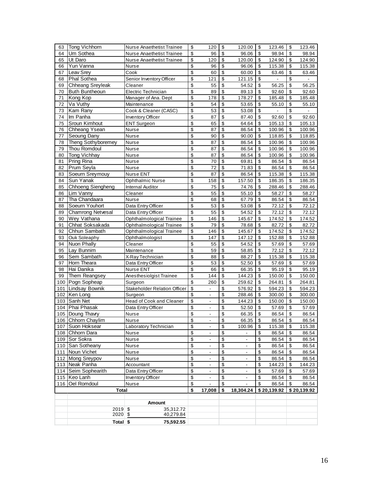| 63  | Tong Vichhorn         | Nurse Anaethetist Trainee    | \$                       | 120                          | \$                       | 120.00                   | \$         | 123.46      | \$<br>123.46                  |
|-----|-----------------------|------------------------------|--------------------------|------------------------------|--------------------------|--------------------------|------------|-------------|-------------------------------|
| 64  | Um Sothea             | Nurse Anaethetist Trainee    | \$                       | 96                           | \$                       | 96.06                    | \$         | 98.94       | \$<br>98.94                   |
| 65  | Ut Daro               | Nurse Anaethetist Trainee    | \$                       | 120                          | \$                       | 120.00                   | \$         | 124.90      | \$<br>124.90                  |
| 66  | Yun Vanna             | Nurse                        | \$                       | 96                           | \$                       | 96.06                    | \$         | 115.38      | \$<br>115.38                  |
| 67  | Leav Srey             | Cook                         | $\overline{\mathbf{s}}$  | 60                           | \$                       | 60.00                    | \$         | 63.46       | \$<br>63.46                   |
| 68  | Phal Sothea           | Senior Inventory Officer     | \$                       | 121                          | \$                       | 121.15                   | \$         |             | \$                            |
| 69  | Chheang Sreyleak      | Cleaner                      | \$                       | 55                           | \$                       | 54.52                    | \$         | 56.25       | \$<br>56.25                   |
| 70  | <b>Buth Buntheoun</b> | Electric Technician          | \$                       | 89                           | \$                       | 89.13                    | \$         | 92.60       | \$<br>92.60                   |
| 71  | Kong Kop              | Manager of Ana. Dept         | $\overline{\mathbf{3}}$  | 178                          | \$                       | 178.27                   | \$         | 185.48      | \$<br>185.48                  |
| 72  | Va Vuthy              | Maintenance                  | \$                       | 54                           | $\overline{\mathcal{L}}$ | 53.65                    | \$         | 55.10       | \$                            |
| 73  | Kam Rany              | Cook & Cleaner (CASC)        | \$                       | 53                           | \$                       | 53.08                    | \$         |             | \$<br>55.10<br>$\blacksquare$ |
| 74  | Im Panha              |                              | \$                       | 87                           | \$                       |                          | \$         |             |                               |
|     |                       | Inventory Officer            |                          |                              |                          | 87.40                    |            | 92.60       | \$<br>92.60                   |
| 75  | Sroun Kimhout         | <b>ENT Surgeon</b>           | \$                       | 65                           | \$                       | 64.64                    | \$         | 105.13      | \$<br>105.13                  |
| 76  | Chheang Ysean         | Nurse                        | \$                       | 87                           | \$                       | 86.54                    | \$         | 100.96      | \$<br>100.96                  |
| 77  | Seoung Dany           | Nurse                        | \$                       | 90                           | \$                       | 90.00                    | \$         | 118.85      | \$<br>118.85                  |
| 78  | Theng Sothyboremey    | Nurse                        | \$                       | 87                           | \$                       | 86.54                    | \$         | 100.96      | \$<br>100.96                  |
| 79  | Thou Romdoul          | Nurse                        | \$                       | 87                           | \$                       | 86.54                    | \$         | 100.96      | \$<br>100.96                  |
| 80  | Tong Vichhay          | Nurse                        | \$                       | 87                           | \$                       | 86.54                    | \$         | 100.96      | \$<br>100.96                  |
| 81  | Pring Rina            | Nurse                        | \$                       | 70                           | \$                       | 69.81                    | \$         | 86.54       | \$<br>86.54                   |
| 82  | Prum Seyla            | Nurse                        | \$                       | 72                           | \$                       | 71.83                    | \$         | 86.54       | \$<br>86.54                   |
| 83  | Soeurn Sreymouy       | Nurse ENT                    | \$                       | 87                           | \$                       | 86.54                    | \$         | 115.38      | \$<br>115.38                  |
| 84  | Sun Yanak             | <b>Ophthalmic Nurse</b>      | \$                       | 158                          | $\overline{\mathbf{e}}$  | 157.50                   | \$         | 186.35      | \$<br>186.35                  |
| 85  | Chhoeng Siengheng     | <b>Internal Auditor</b>      | \$                       | 75                           | \$                       | 74.76                    | \$         | 288.46      | \$<br>288.46                  |
| 86  | Lim Vanny             | Cleaner                      | \$                       | 55                           | \$                       | 55.10                    | \$         | 58.27       | \$<br>58.27                   |
| 87  | Tha Chandaara         | Nurse                        | $\overline{\mathcal{S}}$ | 68                           | \$                       | 67.79                    | \$         | 86.54       | \$<br>86.54                   |
| 88  | Soeurn Youhort        | Data Entry Officer           | \$                       | 53                           | \$                       | 53.08                    | \$         | 72.12       | \$<br>72.12                   |
| 89  | Chamrong Netvesal     | Data Entry Officer           | \$                       | 55                           | \$                       | 54.52                    | \$         | 72.12       | \$<br>72.12                   |
| 90  | Wey Vathana           | Ophthalmological Trainee     | \$                       | 146                          | \$                       | 145.67                   | \$         | 174.52      | \$<br>174.52                  |
| 91  | Chhat Soksakada       | Ophthalmological Trainee     | \$                       | 79                           | \$                       | 78.68                    | \$         | 82.72       | \$<br>82.72                   |
| 92  | Chhun Sambath         | Ophthalmological Trainee     | \$                       | 146                          | \$                       | 145.67                   | \$         | 174.52      | \$<br>174.52                  |
| 93  | Ouk Soleaphy          | Ophthalmologist              | \$                       | 147                          | \$                       | 147.12                   | \$         | 152.88      | \$<br>152.88                  |
| 94  | Nuon Phally           | Cleaner                      | \$                       | 55                           | \$                       | 54.52                    | \$         | 57.69       | \$<br>57.69                   |
| 95  | Lay Bunnim            | Maintenance                  | \$                       | 59                           | \$                       | 58.85                    | \$         | 72.12       | \$<br>72.12                   |
| 96  | Sem Sambath           | X-Ray Technician             | \$                       | 88                           | \$                       | 88.27                    | \$         | 115.38      | \$<br>115.38                  |
| 97  | Horn Theara           | Data Entry Officer           | \$                       | 53                           | \$                       | 52.50                    | \$         | 57.69       | \$<br>57.69                   |
| 98  | Hai Danika            | Nurse ENT                    | \$                       | 66                           | \$                       | 66.35                    | \$         | 95.19       | \$<br>95.19                   |
| 99  | Them Reangsey         | Anesthesiolgist Trainee      | \$                       | 144                          | \$                       | 144.23                   | \$         | 150.00      | \$<br>150.00                  |
| 100 | Pogn Sopheap          | Surgeon                      | \$                       | 260                          | \$                       | 259.62                   | \$         | 264.81      | \$<br>264.81                  |
| 101 | Lindsay Bownik        | Stakeholder Relation Officer | \$                       | $\overline{\phantom{0}}$     | \$                       | 576.92                   | \$         | 594.23      | \$<br>594.23                  |
| 102 | Ken Long              | Surgeon                      | \$                       | $\qquad \qquad \blacksquare$ | \$                       | 288.46                   | \$         | 300.00      | \$<br>300.00                  |
| 103 | Sanh Net              | Head of Cook and Cleaner     | \$                       | ÷,                           | \$                       | 144.23                   | \$         | 150.00      | \$<br>150.00                  |
| 104 | Phai Phasak           | Data Entry Officer           | \$                       |                              | \$                       | 52.50                    | \$         | 57.69       | \$<br>57.69                   |
|     |                       |                              | $\mathsf{\$}$            | $\frac{1}{2}$<br>ä,          | $\overline{\mathcal{S}}$ |                          | $\sqrt{3}$ |             | \$                            |
|     | 105 Doung Thavry      | Nurse                        |                          |                              |                          | 66.35                    |            | 86.54       | 86.54                         |
|     | 106 Chhorn Chaylim    | Nurse                        | \$                       | $\overline{\phantom{a}}$     | \$                       | 66.35                    | \$         | 86.54       | \$<br>86.54                   |
| 107 | Suon Hoksear          | Laboratory Technician        | $\overline{\$}$          | $\overline{a}$               | \$                       | 100.96                   | \$         | 115.38      | \$<br>115.38                  |
|     | 108 Chhorn Dara       | Nurse                        | $\overline{\mathbf{S}}$  | $\overline{\phantom{a}}$     | \$                       | $\blacksquare$           | \$         | 86.54       | \$<br>86.54                   |
|     | 109 Sor Sokra         | Nurse                        | $\overline{\mathbf{S}}$  | -                            | \$                       | $\overline{\phantom{a}}$ | \$         | 86.54       | \$<br>86.54                   |
| 110 | San Sotheany          | Nurse                        | \$                       | $\frac{1}{2}$                | \$                       |                          | \$         | 86.54       | \$<br>86.54                   |
| 111 | Noun Vichet           | Nurse                        | \$                       | L.                           | \$                       | $\overline{a}$           | \$         | 86.54       | \$<br>86.54                   |
|     | 112 Mong Sreypov      | Nurse                        | \$                       | $\blacksquare$               | \$                       | $\blacksquare$           | \$         | 86.54       | \$<br>86.54                   |
|     | 113 Neak Panha        | Accountant                   | \$                       | $\blacksquare$               | \$                       | $\blacksquare$           | \$         | 144.23      | \$<br>144.23                  |
| 114 | Seim Sophearith       | Data Entry Officer           | $\overline{\mathcal{S}}$ | $\overline{\phantom{a}}$     | \$                       | $\blacksquare$           | \$         | 57.69       | \$<br>57.69                   |
| 115 | Keo Lanh              | Inventory Officer            | \$                       | L,                           | \$                       | $\Box$                   | \$         | 86.54       | \$<br>86.54                   |
| 116 | Oel Romdoul           | Nurse                        | \$                       | $\overline{\phantom{0}}$     | \$                       | $\blacksquare$           | \$         | 86.54       | \$<br>86.54                   |
|     | <b>Total</b>          |                              | \$                       | 17,008                       | \$                       | 18,304.24                |            | \$20,139.92 | \$20,139.92                   |
|     |                       |                              |                          |                              |                          |                          |            |             |                               |
|     |                       | Amount                       |                          |                              |                          |                          |            |             |                               |
|     | $2019$ \$             | 35,312.72                    |                          |                              |                          |                          |            |             |                               |
|     | $2020 - $$            | 40,279.84                    |                          |                              |                          |                          |            |             |                               |
|     | Total \$              | 75,592.55                    |                          |                              |                          |                          |            |             |                               |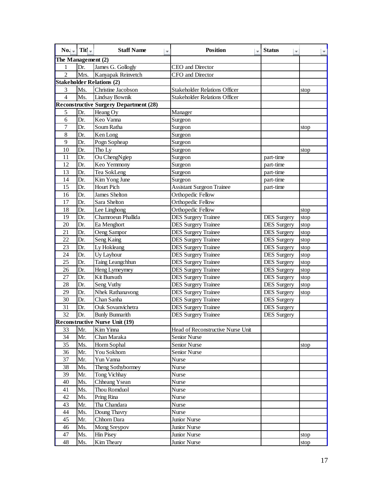| No.                  | $TitI -$ | <b>Staff Name</b><br>Ψ                                          | <b>Position</b>                                          | <b>Status</b><br>÷ |      |
|----------------------|----------|-----------------------------------------------------------------|----------------------------------------------------------|--------------------|------|
| The Management $(2)$ |          |                                                                 |                                                          |                    |      |
| 1                    | Dr.      | James G. Gollogly                                               | CEO and Director                                         |                    |      |
| $\overline{2}$       | Mrs.     | Kanyapak Reinvetch                                              | CFO and Director                                         |                    |      |
|                      |          | <b>Stakeholder Relations (2)</b>                                |                                                          |                    |      |
| 3                    | Ms.      | Christine Jacobson                                              | <b>Stakeholder Relations Officer</b>                     |                    | stop |
| $\overline{4}$       | Ms.      | Lindsay Bownik                                                  | <b>Stakeholder Relations Officer</b>                     |                    |      |
|                      |          | <b>Reconstructive Surgery Department (28)</b>                   |                                                          |                    |      |
| 5                    | Dr.      | Heang Oy                                                        | Manager                                                  |                    |      |
| 6                    | Dr.      | Keo Vanna                                                       | Surgeon                                                  |                    |      |
| $\overline{7}$       | Dr.      | Soum Ratha                                                      | Surgeon                                                  |                    | stop |
| 8                    | Dr.      | Ken Long                                                        | Surgeon                                                  |                    |      |
| 9                    | Dr.      | Pogn Sopheap                                                    | Surgeon                                                  |                    |      |
| 10                   | Dr.      | Tho Ly                                                          | Surgeon                                                  |                    | stop |
| 11                   | Dr.      | Ou ChengNgiep                                                   | Surgeon                                                  | part-time          |      |
| 12                   | Dr.      | Keo Yemmony                                                     | Surgeon                                                  | part-time          |      |
| 13                   | Dr.      | Tea SokLeng                                                     | Surgeon                                                  | part-time          |      |
| 14                   | Dr.      | Kim Yong June                                                   | Surgeon                                                  | part-time          |      |
| 15                   | Dr.      | <b>Hourt Pich</b>                                               | <b>Assistant Surgeon Trainee</b>                         | part-time          |      |
| 16                   | Dr.      | <b>James Shelton</b>                                            | Orthopedic Fellow                                        |                    |      |
| 17                   | Dr.      | Sara Shelton                                                    | Orthopedic Fellow                                        |                    |      |
| 18                   | Dr.      | Lee Linghong                                                    | Orthopedic Fellow                                        |                    | stop |
| 19                   | Dr.      | Chamroeun Phallida                                              | <b>DES Surgery Trainee</b>                               | <b>DES</b> Surgery | stop |
| 20                   | Dr.      | Ea Menghort                                                     | <b>DES Surgery Trainee</b>                               | <b>DES Surgery</b> | stop |
| 21                   | Dr.      | Oeng Sampor                                                     | <b>DES Surgery Trainee</b>                               | <b>DES Surgery</b> | stop |
| 22                   | Dr.      | Seng Kaing                                                      | <b>DES Surgery Trainee</b>                               | <b>DES Surgery</b> | stop |
| 23                   | Dr.      | Ly Hokleang                                                     | <b>DES Surgery Trainee</b>                               | <b>DES</b> Surgery | stop |
| 24                   | Dr.      | Uy Layhour                                                      | <b>DES Surgery Trainee</b>                               | <b>DES</b> Surgery | stop |
| 25                   | Dr.      | Taing Leangchhun                                                | <b>DES Surgery Trainee</b>                               | <b>DES Surgery</b> | stop |
| 26                   | Dr.      | Heng Lymeymey                                                   | <b>DES Surgery Trainee</b>                               | <b>DES Surgery</b> | stop |
| 27                   | Dr.      | Kit Bunvath                                                     | <b>DES Surgery Trainee</b>                               | <b>DES</b> Surgery | stop |
| 28                   | Dr.      | Seng Vuthy                                                      | <b>DES Surgery Trainee</b>                               | <b>DES</b> Surgery | stop |
| 29                   | Dr.      | Nhek Rathanavong                                                | <b>DES Surgery Trainee</b>                               | <b>DES</b> Surgery | stop |
| 30                   | Dr.      | Chan Sanha                                                      | <b>DES Surgery Trainee</b>                               | <b>DES</b> Surgery |      |
| 31                   | Dr.      | Ouk Sovanvichetra                                               | <b>DES Surgery Trainee</b><br><b>DES Surgery Trainee</b> | <b>DES</b> Surgery |      |
| $\overline{32}$      | Dr.      | <b>Bunly Bunnarith</b><br><b>Reconstructive Nurse Unit (19)</b> |                                                          | <b>DES</b> Surgery |      |
| 33                   | Mr.      | Kim Yinna                                                       | Head of Reconstructive Nurse Unit                        |                    |      |
| 34                   | Mr.      | Chan Maraka                                                     | Senior Nurse                                             |                    |      |
| 35                   | Ms.      | Horm Sophal                                                     | Senior Nurse                                             |                    | stop |
| 36                   | Mr.      | You Sokhom                                                      | Senior Nurse                                             |                    |      |
| 37                   | Mr.      | Yun Vanna                                                       | Nurse                                                    |                    |      |
| 38                   | Ms.      | Theng Sothybormey                                               | Nurse                                                    |                    |      |
| 39                   | Mr.      | <b>Tong Vichhay</b>                                             | Nurse                                                    |                    |      |
| 40                   | Ms.      | Chheang Ysean                                                   | Nurse                                                    |                    |      |
| 41                   | Ms.      | Thou Romduol                                                    | Nurse                                                    |                    |      |
| 42                   | Ms.      | Pring Rina                                                      | Nurse                                                    |                    |      |
| 43                   | Mr.      | Tha Chandara                                                    | Nurse                                                    |                    |      |
| 44                   | Ms.      | Doung Thavry                                                    | Nurse                                                    |                    |      |
| 45                   | Mr.      | Chhorn Dara                                                     | Junior Nurse                                             |                    |      |
| 46                   | Ms.      | Mong Sreypov                                                    | Junior Nurse                                             |                    |      |
| 47                   | Ms.      | <b>Hin Pisey</b>                                                | Junior Nurse                                             |                    | stop |
| 48                   | Ms.      | Kim Theary                                                      | Junior Nurse                                             |                    | stop |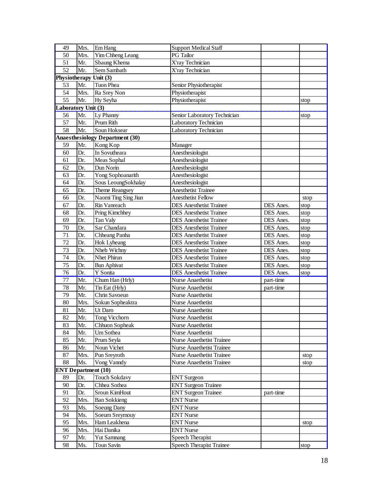| 49                         | Mrs.       | Em Hang                                | <b>Support Medical Staff</b>                        |           |      |
|----------------------------|------------|----------------------------------------|-----------------------------------------------------|-----------|------|
| 50                         | Mrs.       | Yim Chheng Leang                       | <b>PG</b> Tailor                                    |           |      |
| 51                         | Mr.        | Sbaung Khema                           | X'ray Technician                                    |           |      |
| 52                         | Mr.        | Sem Sambath                            | X'ray Technician                                    |           |      |
| Physiotherapy Unit (3)     |            |                                        |                                                     |           |      |
| 53                         | Mr.        | Tuon Phea                              | Senior Physiotherapist                              |           |      |
| 54                         | Mrs.       | Ra Srey Non                            | Physiotherapist                                     |           |      |
| 55                         | Mr.        | Hy Seyha                               | Physiotherapist                                     |           | stop |
| Laboratory Unit (3)        |            |                                        |                                                     |           |      |
| 56                         | Mr.        | Ly Phanny                              | Senior Laboratory Technician                        |           | stop |
| 57                         | Mr.        | Prum Rith                              | Laboratory Technician                               |           |      |
| 58                         | Mr.        | Soun Hoksear                           | Laboratory Technician                               |           |      |
|                            |            | <b>Anaesthesiology Department (30)</b> |                                                     |           |      |
| 59                         | Mr.        | Kong Kop                               | Manager                                             |           |      |
| 60                         | Dr.        | In Sovutheara                          | Anesthesiologist                                    |           |      |
| 61                         | Dr.        | Meas Sophal                            | Anesthesiologist                                    |           |      |
| 62                         | Dr.        | Dun Norin                              | Anesthesiologist                                    |           |      |
| 63                         | Dr.        | Yong Sophoanarith                      | Anesthesiologist                                    |           |      |
| 64                         | Dr.        | Sous LeoungSokhalay                    | Anesthesiologist                                    |           |      |
| 65                         | Dr.        | Theme Reangsey                         | <b>Anesthetist Trainee</b>                          |           |      |
| 66                         | Dr.        | Naomi Ting Sing Jiun                   | <b>Anesthetist Fellow</b>                           |           | stop |
| 67                         | Dr.        | Rin Vanreach                           | <b>DES</b> Anesthetist Trainee                      | DES Anes. | stop |
| 68                         | Dr.        | Pring Kimchhey                         | <b>DES</b> Anesthetist Trainee                      | DES Anes. | stop |
| 69                         | Dr.        | Tan Valy                               | <b>DES</b> Anesthetist Trainee                      | DES Anes. | stop |
| 70                         | Dr.        | Sar Chandara                           | <b>DES</b> Anesthetist Trainee                      | DES Anes. | stop |
| 71                         | Dr.        | Chheang Panha                          | <b>DES</b> Anesthetist Trainee                      | DES Anes. | stop |
| 72                         | Dr.        | Hok Lyheang                            | <b>DES</b> Anesthetist Trainee                      | DES Anes. | stop |
|                            |            |                                        |                                                     |           |      |
| 73                         | Dr.        | Nheb Wichny                            | <b>DES</b> Anesthetist Trainee                      | DES Anes. | stop |
| 74                         | Dr.        | Nhet Phirun                            | <b>DES</b> Anesthetist Trainee                      | DES Anes. | stop |
| 75                         | Dr.        | <b>Bun Aphivat</b>                     | <b>DES</b> Anesthetist Trainee                      | DES Anes. | stop |
| 76                         | Dr.        | Y Sonita                               | <b>DES</b> Anesthetist Trainee                      | DES Anes. | stop |
| 77                         | Mr.        | Chum Han (Hrly)                        | Nurse Anaethetist                                   | part-time |      |
| 78                         | Mr.        | Tin Eat (Hrly)                         | Nurse Anaethetist                                   | part-time |      |
| 79                         | Mr.        | Chrin Savoeun                          | <b>Nurse Anaethetist</b>                            |           |      |
| 80                         | Mrs.       | Sokun Sopheaktra                       | <b>Nurse Anaethetist</b>                            |           |      |
| 81                         | Mr.        | Ut Daro                                | Nurse Anaethetist                                   |           |      |
| 82                         | Mr.        | Tong Vicchorn                          | Nurse Anaethetist                                   |           |      |
| 83                         | Mr.        | Chhuon Sopheak                         | Nurse Anaethetist                                   |           |      |
| 84                         | Mr.        | Um Sothea                              | Nurse Anaethetist                                   |           |      |
| 85                         | Mr.        | Prum Seyla                             | <b>Nurse Anaethetist Trainee</b>                    |           |      |
| 86                         | Mr.        | Noun Vichet                            | <b>Nurse Anaethetist Trainee</b>                    |           |      |
| 87                         | Mrs.       | Pun Sreyroth                           | <b>Nurse Anaethetist Trainee</b>                    |           | stop |
| 88                         | Ms.        | Vong Vanndy                            | <b>Nurse Anaethetist Trainee</b>                    |           | stop |
| <b>ENT</b> Department (10) |            |                                        |                                                     |           |      |
| 89                         | Dr.        | <b>Touch Sokdavy</b>                   | <b>ENT</b> Surgeon                                  |           |      |
| 90                         | Dr.        | Chhea Sothea                           | <b>ENT Surgeon Trainee</b>                          |           |      |
| 91                         | Dr.        | Sroun KimHout                          | <b>ENT Surgeon Trainee</b>                          | part-time |      |
| 92                         | Mrs.       | <b>Ban Sokkieng</b>                    | <b>ENT Nurse</b>                                    |           |      |
| 93                         | Ms.        | Soeung Dany                            | <b>ENT Nurse</b>                                    |           |      |
| 94                         | Ms.        | Soeurn Sreymouy                        | <b>ENT Nurse</b>                                    |           |      |
| 95                         | Mrs.       | Ham Leakhena                           | <b>ENT Nurse</b>                                    |           | stop |
| 96                         | Mrs.       | Hai Danika                             | <b>ENT Nurse</b>                                    |           |      |
| 97<br>98                   | Mr.<br>Ms. | <b>Yut Samnang</b><br>Toun Savin       | Speech Therapist<br><b>Speech Therapist Trainee</b> |           | stop |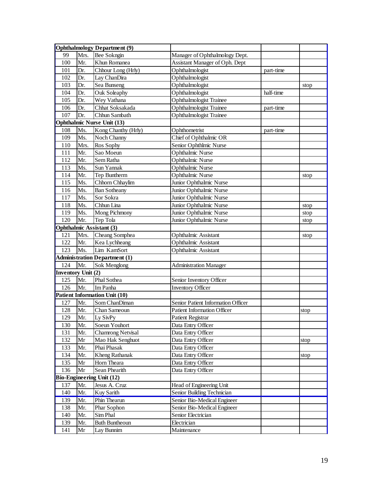|                    |      | <b>Ophthalmology Department (9)</b>  |                                    |           |      |
|--------------------|------|--------------------------------------|------------------------------------|-----------|------|
| 99                 | Mrs. | <b>Bee Sokngin</b>                   | Manager of Ophthalmology Dept.     |           |      |
| 100                | Mr.  | Khun Romanea                         | Assistant Manager of Oph. Dept     |           |      |
| 101                | Dr.  | Chhour Long (Hrly)                   | Ophthalmologist                    | part-time |      |
| 102                | Dr.  | Lay ChanDira                         | Ophthalmologist                    |           |      |
| 103                | Dr.  | Sea Bunseng                          | Ophthalmologist                    |           | stop |
| 104                | Dr.  | Ouk Soleaphy                         | Ophthalmologist                    | half-time |      |
| 105                | Dr.  | Wey Vathana                          | <b>Ophthalmologist Trainee</b>     |           |      |
| 106                | Dr.  | Chhat Soksakada                      | <b>Ophthalmologist Trainee</b>     | part-time |      |
| 107                | Dr.  | Chhun Sambath                        | <b>Ophthalmologist Trainee</b>     |           |      |
|                    |      | <b>Ophthalmic Nurse Unit (13)</b>    |                                    |           |      |
| 108                | Ms.  | Kong Chanthy (Hrly)                  | Ophthometrist                      | part-time |      |
| 109                | Ms.  | Noch Channy                          | Chief of Ophthalmic OR             |           |      |
| 110                | Mrs. | Ros Sophy                            | Senior Ophthlmic Nurse             |           |      |
| 111                | Mr.  | Sao Moeun                            | <b>Ophthalmic Nurse</b>            |           |      |
| 112                | Mr.  | Sem Ratha                            | <b>Ophthalmic Nurse</b>            |           |      |
| 113                | Ms.  | Sun Yannak                           | <b>Ophthalmic Nurse</b>            |           |      |
| 114                | Mr.  | Tep Buntherm                         | <b>Ophthalmic Nurse</b>            |           | stop |
| 115                | Ms.  | Chhorn Chhaylim                      | Junior Ophthalmic Nurse            |           |      |
| 116                | Ms.  | <b>Ban Sotheany</b>                  | Junior Ophthalmic Nurse            |           |      |
| 117                | Ms.  | Sor Sokra                            | Junior Ophthalmic Nurse            |           |      |
| 118                | Ms.  | Chhun Lina                           | Junior Ophthalmic Nurse            |           | stop |
| 119                | Ms.  | Mong Pichmony                        | Junior Ophthalmic Nurse            |           | stop |
| 120                | Mr.  | Tep Tola                             | Junior Ophthalmic Nurse            |           | stop |
|                    |      | <b>Ophthalmic Assistant (3)</b>      |                                    |           |      |
| 121                | Mrs. | Cheang Somphea                       | Ophthalmic Assistant               |           | stop |
| 122                | Mr.  | Kea Lychheang                        | Ophthalmic Assistant               |           |      |
| 123                | Ms.  | Lim KamSort                          | Ophthalmic Assistant               |           |      |
|                    |      | <b>Administration Department (1)</b> |                                    |           |      |
| 124                | Mr.  | Sok Menglong                         | <b>Administration Manager</b>      |           |      |
| Inventory Unit (2) |      |                                      |                                    |           |      |
| 125                | Mr.  | Phal Sothea                          | Senior Inventory Officer           |           |      |
| 126                | Mr.  | Im Panha                             | <b>Inventory Officer</b>           |           |      |
|                    |      | <b>Patient Information Unit (10)</b> |                                    |           |      |
| 127                | Mr.  | Som ChanDiman                        | Senior Patient Information Officer |           |      |
| 128                | Mr.  | Chan Sameoun                         | <b>Patient Information Officer</b> |           | stop |
| 129                | Mr.  | Ly SivPy                             | Patient Registrar                  |           |      |
| 130                | Mr.  | Soeun Youhort                        | Data Entry Officer                 |           |      |
| 131                | Mr.  | <b>Chamrong Netvisal</b>             | Data Entry Officer                 |           |      |
| 132                | Mr   | Mao Hak Senghuot                     | Data Entry Officer                 |           | stop |
| 133                | Mr.  | Phai Phasak                          | Data Entry Officer                 |           |      |
| 134                | Mr.  | Kheng Rathanak                       | Data Entry Officer                 |           | stop |
| 135                | Mr   | Horn Theara                          | Data Entry Officer                 |           |      |
| 136                | Mr   | Sean Phearith                        | Data Entry Officer                 |           |      |
|                    |      | Bio-Engineering Unit (12)            |                                    |           |      |
| 137                | Mr.  | Jesus A. Cruz                        | Head of Engineering Unit           |           |      |
| 140                | Mr.  | Kuy Sarith                           | Senior Building Technician         |           |      |
| 139                | Mr.  | Phin Thearun                         | Senior Bio-Medical Engineer        |           |      |
| 138                | Mr.  | Phar Sophon                          | Senior Bio-Medical Engineer        |           |      |
| 140                | Mr.  | Sim Phal                             | Senior Electrician                 |           |      |
| 139                | Mr.  | <b>Buth Buntheoun</b>                | Electrician                        |           |      |
| 141                | Mr   | Lay Bunnim                           | Maintenance                        |           |      |